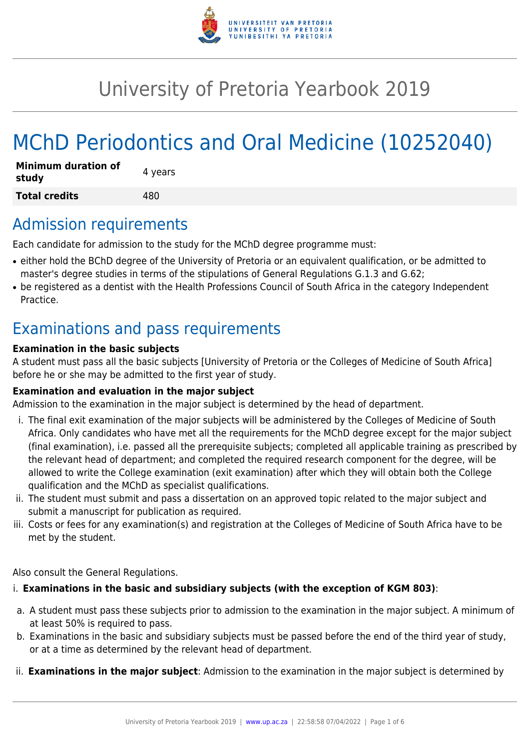

# University of Pretoria Yearbook 2019

# MChD Periodontics and Oral Medicine (10252040)

| <b>Minimum duration of</b><br>study | 4 years |
|-------------------------------------|---------|
| <b>Total credits</b>                | 480     |

# Admission requirements

Each candidate for admission to the study for the MChD degree programme must:

- either hold the BChD degree of the University of Pretoria or an equivalent qualification, or be admitted to master's degree studies in terms of the stipulations of General Regulations G.1.3 and G.62;
- be registered as a dentist with the Health Professions Council of South Africa in the category Independent Practice.

# Examinations and pass requirements

#### **Examination in the basic subjects**

A student must pass all the basic subjects [University of Pretoria or the Colleges of Medicine of South Africa] before he or she may be admitted to the first year of study.

#### **Examination and evaluation in the major subject**

Admission to the examination in the major subject is determined by the head of department.

- i. The final exit examination of the major subjects will be administered by the Colleges of Medicine of South Africa. Only candidates who have met all the requirements for the MChD degree except for the major subject (final examination), i.e. passed all the prerequisite subjects; completed all applicable training as prescribed by the relevant head of department; and completed the required research component for the degree, will be allowed to write the College examination (exit examination) after which they will obtain both the College qualification and the MChD as specialist qualifications.
- ii. The student must submit and pass a dissertation on an approved topic related to the major subject and submit a manuscript for publication as required.
- iii. Costs or fees for any examination(s) and registration at the Colleges of Medicine of South Africa have to be met by the student.

Also consult the General Regulations.

#### i. **Examinations in the basic and subsidiary subjects (with the exception of KGM 803)**:

- a. A student must pass these subjects prior to admission to the examination in the major subject. A minimum of at least 50% is required to pass.
- b. Examinations in the basic and subsidiary subjects must be passed before the end of the third year of study, or at a time as determined by the relevant head of department.
- ii. **Examinations in the major subject**: Admission to the examination in the major subject is determined by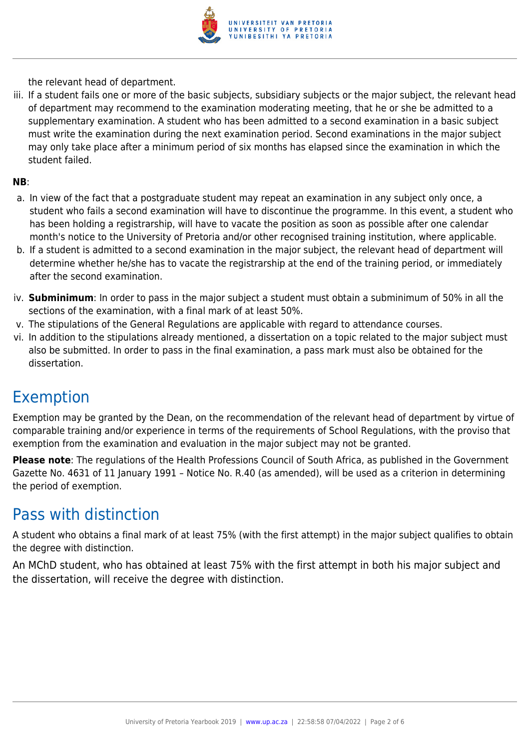

the relevant head of department.

iii. If a student fails one or more of the basic subjects, subsidiary subjects or the major subject, the relevant head of department may recommend to the examination moderating meeting, that he or she be admitted to a supplementary examination. A student who has been admitted to a second examination in a basic subject must write the examination during the next examination period. Second examinations in the major subject may only take place after a minimum period of six months has elapsed since the examination in which the student failed.

#### **NB**:

- a. In view of the fact that a postgraduate student may repeat an examination in any subject only once, a student who fails a second examination will have to discontinue the programme. In this event, a student who has been holding a registrarship, will have to vacate the position as soon as possible after one calendar month's notice to the University of Pretoria and/or other recognised training institution, where applicable.
- b. If a student is admitted to a second examination in the major subject, the relevant head of department will determine whether he/she has to vacate the registrarship at the end of the training period, or immediately after the second examination.
- iv. **Subminimum**: In order to pass in the major subject a student must obtain a subminimum of 50% in all the sections of the examination, with a final mark of at least 50%.
- v. The stipulations of the General Regulations are applicable with regard to attendance courses.
- vi. In addition to the stipulations already mentioned, a dissertation on a topic related to the major subject must also be submitted. In order to pass in the final examination, a pass mark must also be obtained for the dissertation.

### Exemption

Exemption may be granted by the Dean, on the recommendation of the relevant head of department by virtue of comparable training and/or experience in terms of the requirements of School Regulations, with the proviso that exemption from the examination and evaluation in the major subject may not be granted.

**Please note**: The regulations of the Health Professions Council of South Africa, as published in the Government Gazette No. 4631 of 11 January 1991 – Notice No. R.40 (as amended), will be used as a criterion in determining the period of exemption.

### Pass with distinction

A student who obtains a final mark of at least 75% (with the first attempt) in the major subject qualifies to obtain the degree with distinction.

An MChD student, who has obtained at least 75% with the first attempt in both his major subject and the dissertation, will receive the degree with distinction.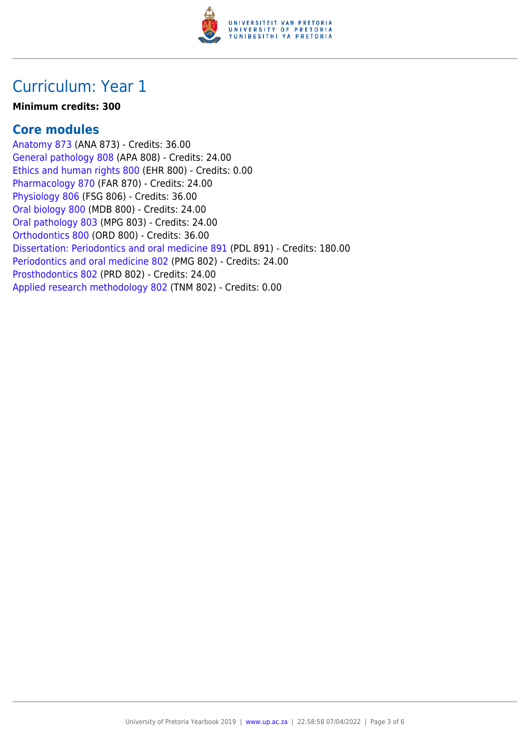

# Curriculum: Year 1

#### **Minimum credits: 300**

#### **Core modules**

[Anatomy 873](https://www.up.ac.za/faculty-of-education/yearbooks/2019/modules/view/ANA 873) (ANA 873) - Credits: 36.00 [General pathology 808](https://www.up.ac.za/faculty-of-education/yearbooks/2019/modules/view/APA 808) (APA 808) - Credits: 24.00 [Ethics and human rights 800](https://www.up.ac.za/faculty-of-education/yearbooks/2019/modules/view/EHR 800) (EHR 800) - Credits: 0.00 [Pharmacology 870](https://www.up.ac.za/faculty-of-education/yearbooks/2019/modules/view/FAR 870) (FAR 870) - Credits: 24.00 [Physiology 806](https://www.up.ac.za/faculty-of-education/yearbooks/2019/modules/view/FSG 806) (FSG 806) - Credits: 36.00 [Oral biology 800](https://www.up.ac.za/faculty-of-education/yearbooks/2019/modules/view/MDB 800) (MDB 800) - Credits: 24.00 [Oral pathology 803](https://www.up.ac.za/faculty-of-education/yearbooks/2019/modules/view/MPG 803) (MPG 803) - Credits: 24.00 [Orthodontics 800](https://www.up.ac.za/faculty-of-education/yearbooks/2019/modules/view/ORD 800) (ORD 800) - Credits: 36.00 [Dissertation: Periodontics and oral medicine 891](https://www.up.ac.za/faculty-of-education/yearbooks/2019/modules/view/PDL 891) (PDL 891) - Credits: 180.00 [Periodontics and oral medicine 802](https://www.up.ac.za/faculty-of-education/yearbooks/2019/modules/view/PMG 802) (PMG 802) - Credits: 24.00 [Prosthodontics 802](https://www.up.ac.za/faculty-of-education/yearbooks/2019/modules/view/PRD 802) (PRD 802) - Credits: 24.00 [Applied research methodology 802](https://www.up.ac.za/faculty-of-education/yearbooks/2019/modules/view/TNM 802) (TNM 802) - Credits: 0.00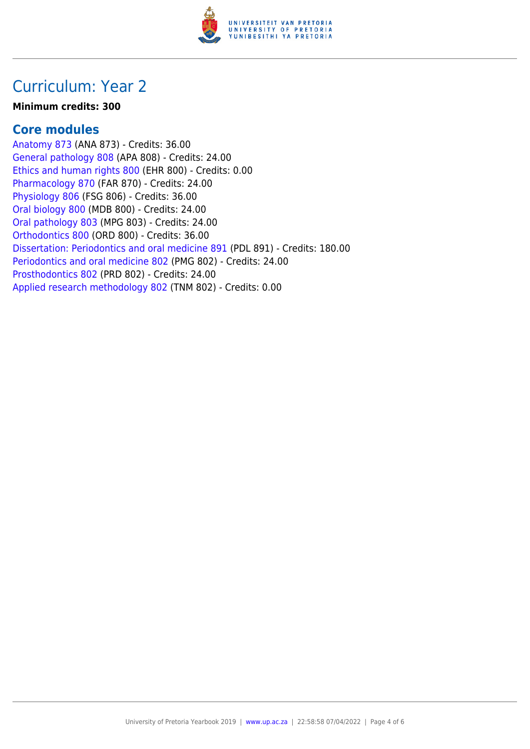

# Curriculum: Year 2

#### **Minimum credits: 300**

#### **Core modules**

[Anatomy 873](https://www.up.ac.za/faculty-of-education/yearbooks/2019/modules/view/ANA 873) (ANA 873) - Credits: 36.00 [General pathology 808](https://www.up.ac.za/faculty-of-education/yearbooks/2019/modules/view/APA 808) (APA 808) - Credits: 24.00 [Ethics and human rights 800](https://www.up.ac.za/faculty-of-education/yearbooks/2019/modules/view/EHR 800) (EHR 800) - Credits: 0.00 [Pharmacology 870](https://www.up.ac.za/faculty-of-education/yearbooks/2019/modules/view/FAR 870) (FAR 870) - Credits: 24.00 [Physiology 806](https://www.up.ac.za/faculty-of-education/yearbooks/2019/modules/view/FSG 806) (FSG 806) - Credits: 36.00 [Oral biology 800](https://www.up.ac.za/faculty-of-education/yearbooks/2019/modules/view/MDB 800) (MDB 800) - Credits: 24.00 [Oral pathology 803](https://www.up.ac.za/faculty-of-education/yearbooks/2019/modules/view/MPG 803) (MPG 803) - Credits: 24.00 [Orthodontics 800](https://www.up.ac.za/faculty-of-education/yearbooks/2019/modules/view/ORD 800) (ORD 800) - Credits: 36.00 [Dissertation: Periodontics and oral medicine 891](https://www.up.ac.za/faculty-of-education/yearbooks/2019/modules/view/PDL 891) (PDL 891) - Credits: 180.00 [Periodontics and oral medicine 802](https://www.up.ac.za/faculty-of-education/yearbooks/2019/modules/view/PMG 802) (PMG 802) - Credits: 24.00 [Prosthodontics 802](https://www.up.ac.za/faculty-of-education/yearbooks/2019/modules/view/PRD 802) (PRD 802) - Credits: 24.00 [Applied research methodology 802](https://www.up.ac.za/faculty-of-education/yearbooks/2019/modules/view/TNM 802) (TNM 802) - Credits: 0.00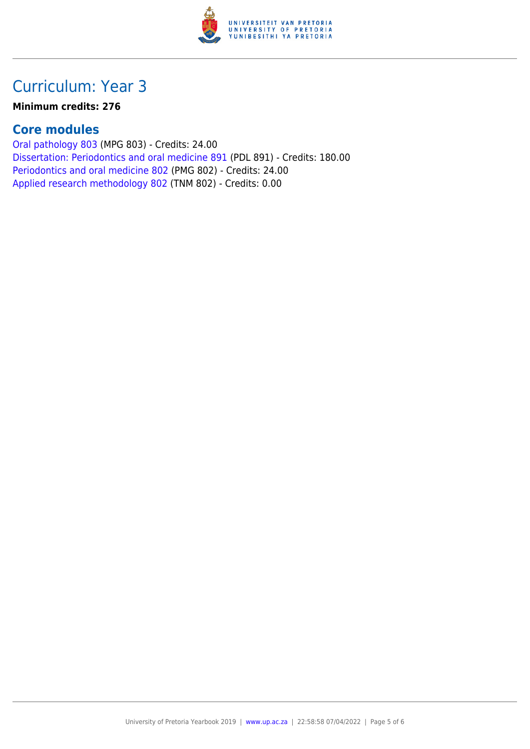

# Curriculum: Year 3

**Minimum credits: 276**

### **Core modules**

[Oral pathology 803](https://www.up.ac.za/faculty-of-education/yearbooks/2019/modules/view/MPG 803) (MPG 803) - Credits: 24.00 [Dissertation: Periodontics and oral medicine 891](https://www.up.ac.za/faculty-of-education/yearbooks/2019/modules/view/PDL 891) (PDL 891) - Credits: 180.00 [Periodontics and oral medicine 802](https://www.up.ac.za/faculty-of-education/yearbooks/2019/modules/view/PMG 802) (PMG 802) - Credits: 24.00 [Applied research methodology 802](https://www.up.ac.za/faculty-of-education/yearbooks/2019/modules/view/TNM 802) (TNM 802) - Credits: 0.00